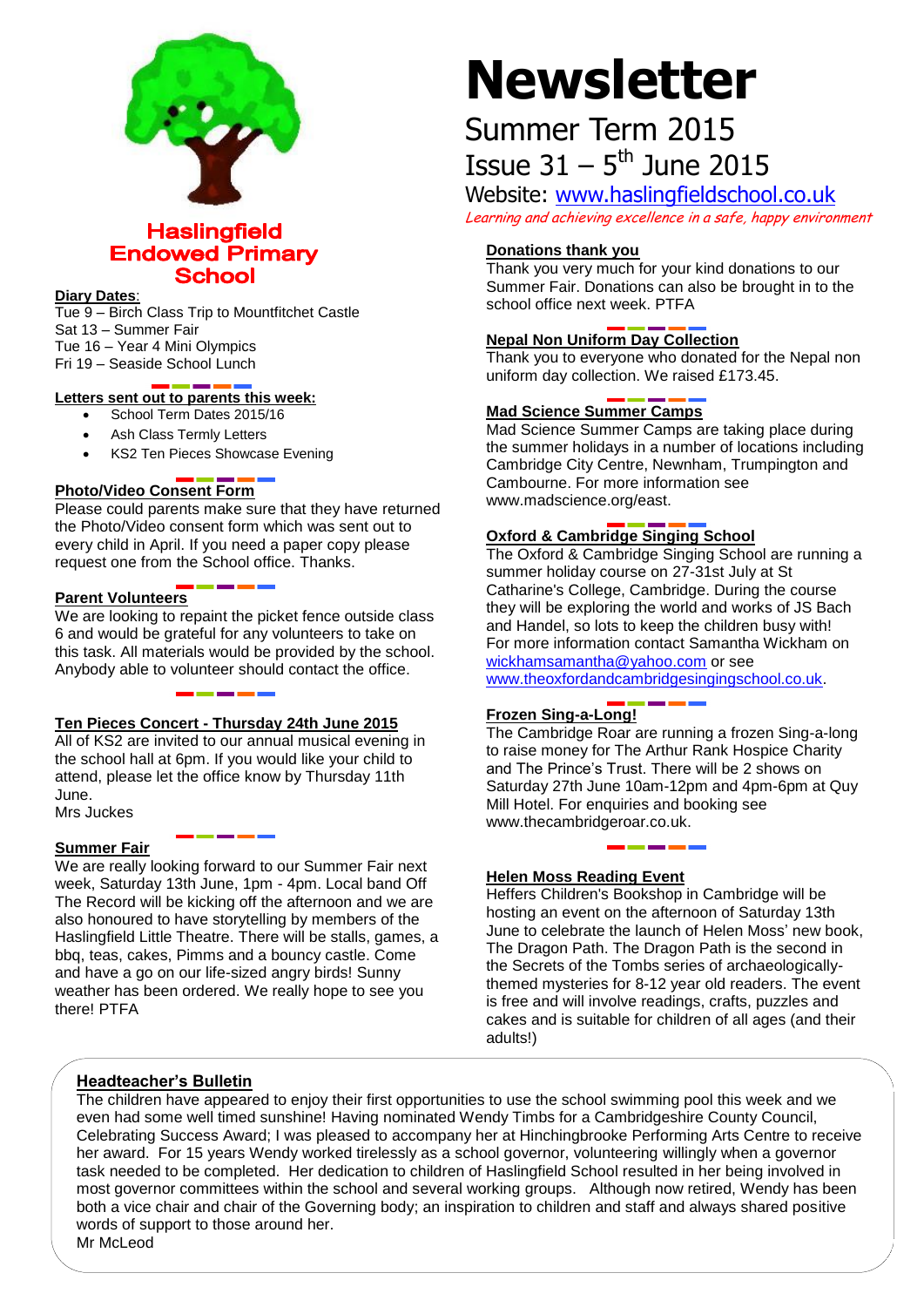

**Haslingfield Endowed Primary School** 

#### **Diary Dates**:

Tue 9 – Birch Class Trip to Mountfitchet Castle Sat 13 – Summer Fair Tue 16 – Year 4 Mini Olympics Fri 19 – Seaside School Lunch

#### **Letters sent out to parents this week:**

- School Term Dates 2015/16
- Ash Class Termly Letters
- KS2 Ten Pieces Showcase Evening

# **Photo/Video Consent Form**

Please could parents make sure that they have returned the Photo/Video consent form which was sent out to every child in April. If you need a paper copy please request one from the School office. Thanks.

#### **Parent Volunteers**

We are looking to repaint the picket fence outside class 6 and would be grateful for any volunteers to take on this task. All materials would be provided by the school. Anybody able to volunteer should contact the office.

# **Ten Pieces Concert - Thursday 24th June 2015**

All of KS2 are invited to our annual musical evening in the school hall at 6pm. If you would like your child to attend, please let the office know by Thursday 11th June.

Mrs Juckes

#### **Summer Fair**

We are really looking forward to our Summer Fair next week, Saturday 13th June, 1pm - 4pm. Local band Off The Record will be kicking off the afternoon and we are also honoured to have storytelling by members of the Haslingfield Little Theatre. There will be stalls, games, a bbq, teas, cakes, Pimms and a bouncy castle. Come and have a go on our life-sized angry birds! Sunny weather has been ordered. We really hope to see you there! PTFA

# **Newsletter**

# Summer Term 2015 Issue  $31 - 5$ <sup>th</sup> June 2015

Website: [www.haslingfieldschool.co.uk](http://www.haslingfieldschool.co.uk/) Learning and achieving excellence in a safe, happy environment

#### **Donations thank you**

Thank you very much for your kind donations to our Summer Fair. Donations can also be brought in to the school office next week. PTFA

#### **Nepal Non Uniform Day Collection**

Thank you to everyone who donated for the Nepal non uniform day collection. We raised £173.45.

# **Mad Science Summer Camps**

Mad Science Summer Camps are taking place during the summer holidays in a number of locations including Cambridge City Centre, Newnham, Trumpington and Cambourne. For more information see www.madscience.org/east.

# **Oxford & Cambridge Singing School**

The Oxford & Cambridge Singing School are running a summer holiday course on 27-31st July at St Catharine's College, Cambridge. During the course they will be exploring the world and works of JS Bach and Handel, so lots to keep the children busy with! For more information contact Samantha Wickham on [wickhamsamantha@yahoo.com](mailto:wickhamsamantha@yahoo.com) or see [www.theoxfordandcambridgesingingschool.co.uk.](http://www.theoxfordandcambridgesingingschool.co.uk/)

#### **Frozen Sing-a-Long!**

The Cambridge Roar are running a frozen Sing-a-long to raise money for The Arthur Rank Hospice Charity and The Prince's Trust. There will be 2 shows on Saturday 27th June 10am-12pm and 4pm-6pm at Quy Mill Hotel. For enquiries and booking see www.thecambridgeroar.co.uk.

#### **Helen Moss Reading Event**

Heffers Children's Bookshop in Cambridge will be hosting an event on the afternoon of Saturday 13th June to celebrate the launch of Helen Moss' new book, The Dragon Path. The Dragon Path is the second in the Secrets of the Tombs series of archaeologicallythemed mysteries for 8-12 year old readers. The event is free and will involve readings, crafts, puzzles and cakes and is suitable for children of all ages (and their adults!)

# **Headteacher's Bulletin**

The children have appeared to enjoy their first opportunities to use the school swimming pool this week and we even had some well timed sunshine! Having nominated Wendy Timbs for a Cambridgeshire County Council, Celebrating Success Award; I was pleased to accompany her at Hinchingbrooke Performing Arts Centre to receive her award. For 15 years Wendy worked tirelessly as a school governor, volunteering willingly when a governor task needed to be completed. Her dedication to children of Haslingfield School resulted in her being involved in most governor committees within the school and several working groups. Although now retired, Wendy has been both a vice chair and chair of the Governing body; an inspiration to children and staff and always shared positive words of support to those around her. Mr McLeod